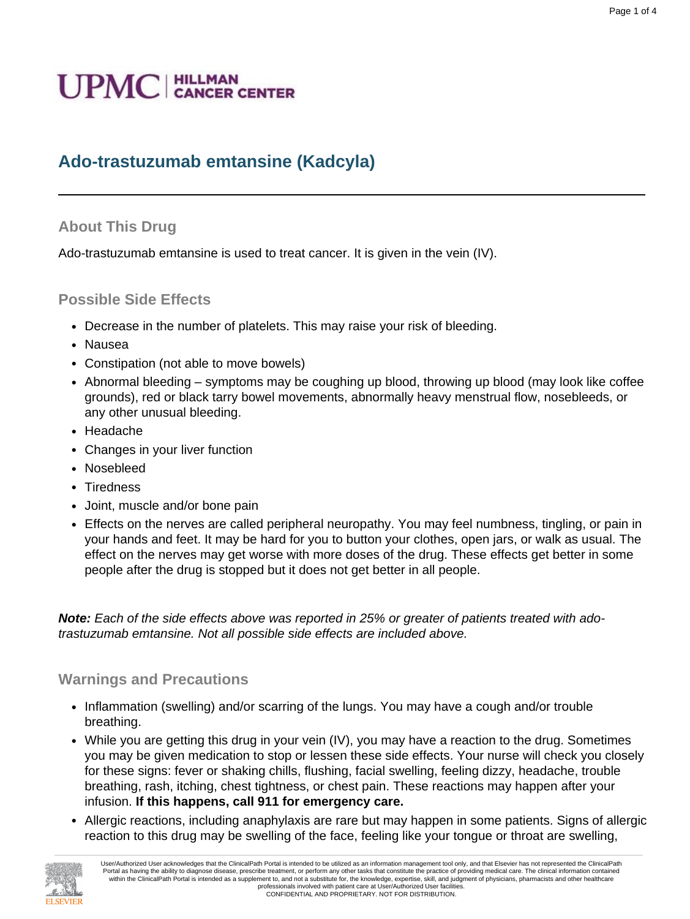# **UPMC** | HILLMAN

# **Ado-trastuzumab emtansine (Kadcyla)**

#### **About This Drug**

Ado-trastuzumab emtansine is used to treat cancer. It is given in the vein (IV).

#### **Possible Side Effects**

- Decrease in the number of platelets. This may raise your risk of bleeding.
- Nausea
- Constipation (not able to move bowels)
- Abnormal bleeding symptoms may be coughing up blood, throwing up blood (may look like coffee grounds), red or black tarry bowel movements, abnormally heavy menstrual flow, nosebleeds, or any other unusual bleeding.
- Headache
- Changes in your liver function
- Nosebleed
- Tiredness
- Joint, muscle and/or bone pain
- Effects on the nerves are called peripheral neuropathy. You may feel numbness, tingling, or pain in your hands and feet. It may be hard for you to button your clothes, open jars, or walk as usual. The effect on the nerves may get worse with more doses of the drug. These effects get better in some people after the drug is stopped but it does not get better in all people.

**Note:** Each of the side effects above was reported in 25% or greater of patients treated with adotrastuzumab emtansine. Not all possible side effects are included above.

#### **Warnings and Precautions**

- Inflammation (swelling) and/or scarring of the lungs. You may have a cough and/or trouble breathing.
- While you are getting this drug in your vein (IV), you may have a reaction to the drug. Sometimes you may be given medication to stop or lessen these side effects. Your nurse will check you closely for these signs: fever or shaking chills, flushing, facial swelling, feeling dizzy, headache, trouble breathing, rash, itching, chest tightness, or chest pain. These reactions may happen after your infusion. **If this happens, call 911 for emergency care.**
- Allergic reactions, including anaphylaxis are rare but may happen in some patients. Signs of allergic reaction to this drug may be swelling of the face, feeling like your tongue or throat are swelling,

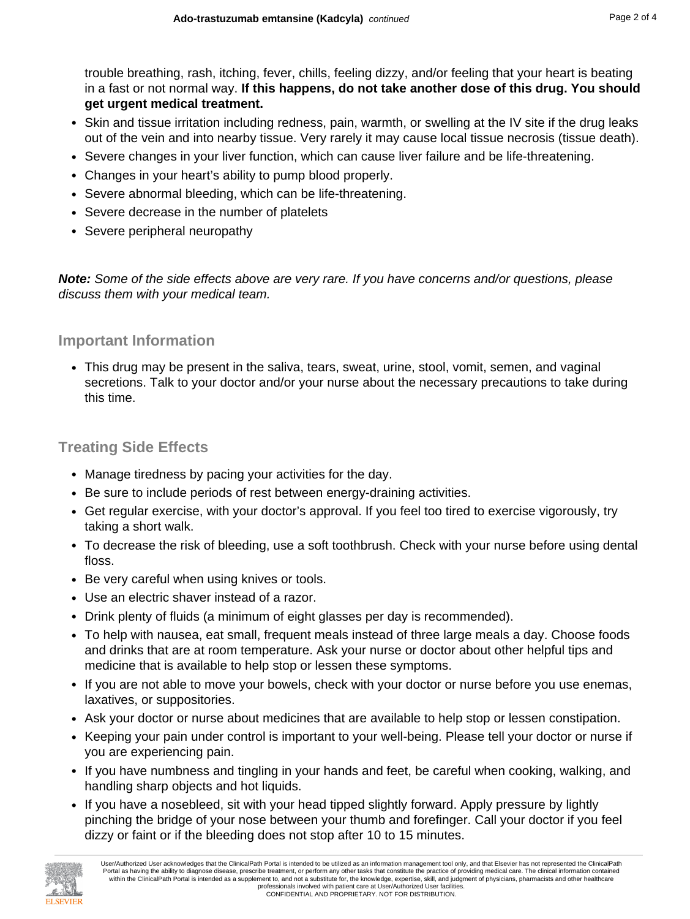trouble breathing, rash, itching, fever, chills, feeling dizzy, and/or feeling that your heart is beating in a fast or not normal way. **If this happens, do not take another dose of this drug. You should get urgent medical treatment.**

- Skin and tissue irritation including redness, pain, warmth, or swelling at the IV site if the drug leaks out of the vein and into nearby tissue. Very rarely it may cause local tissue necrosis (tissue death).
- Severe changes in your liver function, which can cause liver failure and be life-threatening.
- Changes in your heart's ability to pump blood properly.
- Severe abnormal bleeding, which can be life-threatening.
- Severe decrease in the number of platelets
- Severe peripheral neuropathy

**Note:** Some of the side effects above are very rare. If you have concerns and/or questions, please discuss them with your medical team.

#### **Important Information**

• This drug may be present in the saliva, tears, sweat, urine, stool, vomit, semen, and vaginal secretions. Talk to your doctor and/or your nurse about the necessary precautions to take during this time.

#### **Treating Side Effects**

- Manage tiredness by pacing your activities for the day.
- Be sure to include periods of rest between energy-draining activities.
- Get regular exercise, with your doctor's approval. If you feel too tired to exercise vigorously, try taking a short walk.
- To decrease the risk of bleeding, use a soft toothbrush. Check with your nurse before using dental floss.
- Be very careful when using knives or tools.
- Use an electric shaver instead of a razor.
- Drink plenty of fluids (a minimum of eight glasses per day is recommended).
- To help with nausea, eat small, frequent meals instead of three large meals a day. Choose foods and drinks that are at room temperature. Ask your nurse or doctor about other helpful tips and medicine that is available to help stop or lessen these symptoms.
- If you are not able to move your bowels, check with your doctor or nurse before you use enemas, laxatives, or suppositories.
- Ask your doctor or nurse about medicines that are available to help stop or lessen constipation.
- Keeping your pain under control is important to your well-being. Please tell your doctor or nurse if you are experiencing pain.
- If you have numbness and tingling in your hands and feet, be careful when cooking, walking, and handling sharp objects and hot liquids.
- If you have a nosebleed, sit with your head tipped slightly forward. Apply pressure by lightly pinching the bridge of your nose between your thumb and forefinger. Call your doctor if you feel dizzy or faint or if the bleeding does not stop after 10 to 15 minutes.

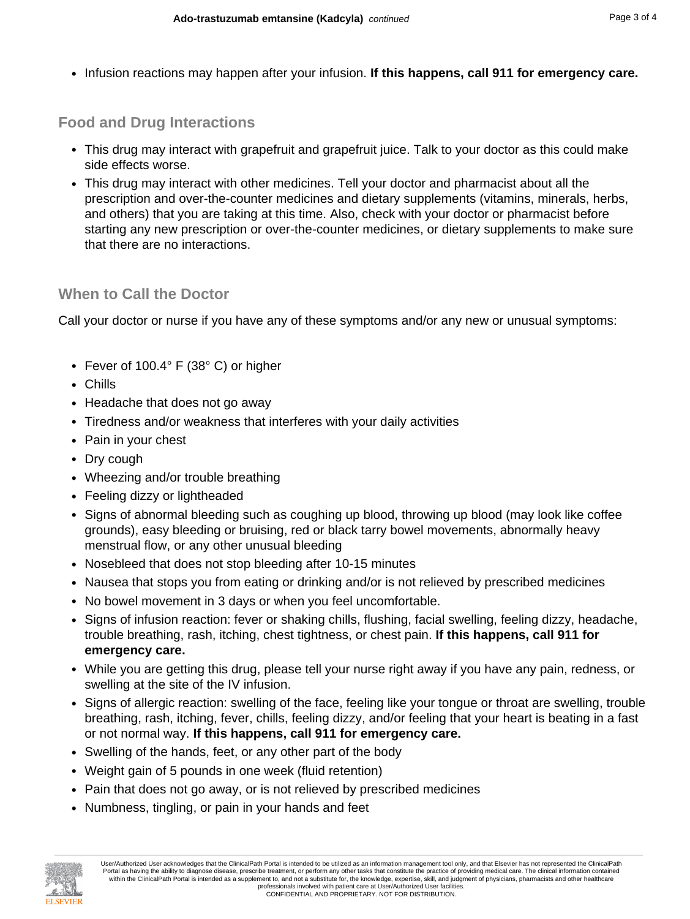• Infusion reactions may happen after your infusion. **If this happens, call 911 for emergency care.**

## **Food and Drug Interactions**

- This drug may interact with grapefruit and grapefruit juice. Talk to your doctor as this could make side effects worse.
- This drug may interact with other medicines. Tell your doctor and pharmacist about all the prescription and over-the-counter medicines and dietary supplements (vitamins, minerals, herbs, and others) that you are taking at this time. Also, check with your doctor or pharmacist before starting any new prescription or over-the-counter medicines, or dietary supplements to make sure that there are no interactions.

### **When to Call the Doctor**

Call your doctor or nurse if you have any of these symptoms and/or any new or unusual symptoms:

- Fever of 100.4° F (38° C) or higher
- Chills
- Headache that does not go away
- Tiredness and/or weakness that interferes with your daily activities
- Pain in your chest
- Dry cough
- Wheezing and/or trouble breathing
- Feeling dizzy or lightheaded
- Signs of abnormal bleeding such as coughing up blood, throwing up blood (may look like coffee grounds), easy bleeding or bruising, red or black tarry bowel movements, abnormally heavy menstrual flow, or any other unusual bleeding
- Nosebleed that does not stop bleeding after 10-15 minutes
- Nausea that stops you from eating or drinking and/or is not relieved by prescribed medicines
- No bowel movement in 3 days or when you feel uncomfortable.
- Signs of infusion reaction: fever or shaking chills, flushing, facial swelling, feeling dizzy, headache, trouble breathing, rash, itching, chest tightness, or chest pain. **If this happens, call 911 for emergency care.**
- While you are getting this drug, please tell your nurse right away if you have any pain, redness, or swelling at the site of the IV infusion.
- Signs of allergic reaction: swelling of the face, feeling like your tongue or throat are swelling, trouble breathing, rash, itching, fever, chills, feeling dizzy, and/or feeling that your heart is beating in a fast or not normal way. **If this happens, call 911 for emergency care.**
- Swelling of the hands, feet, or any other part of the body
- Weight gain of 5 pounds in one week (fluid retention)
- Pain that does not go away, or is not relieved by prescribed medicines
- Numbness, tingling, or pain in your hands and feet